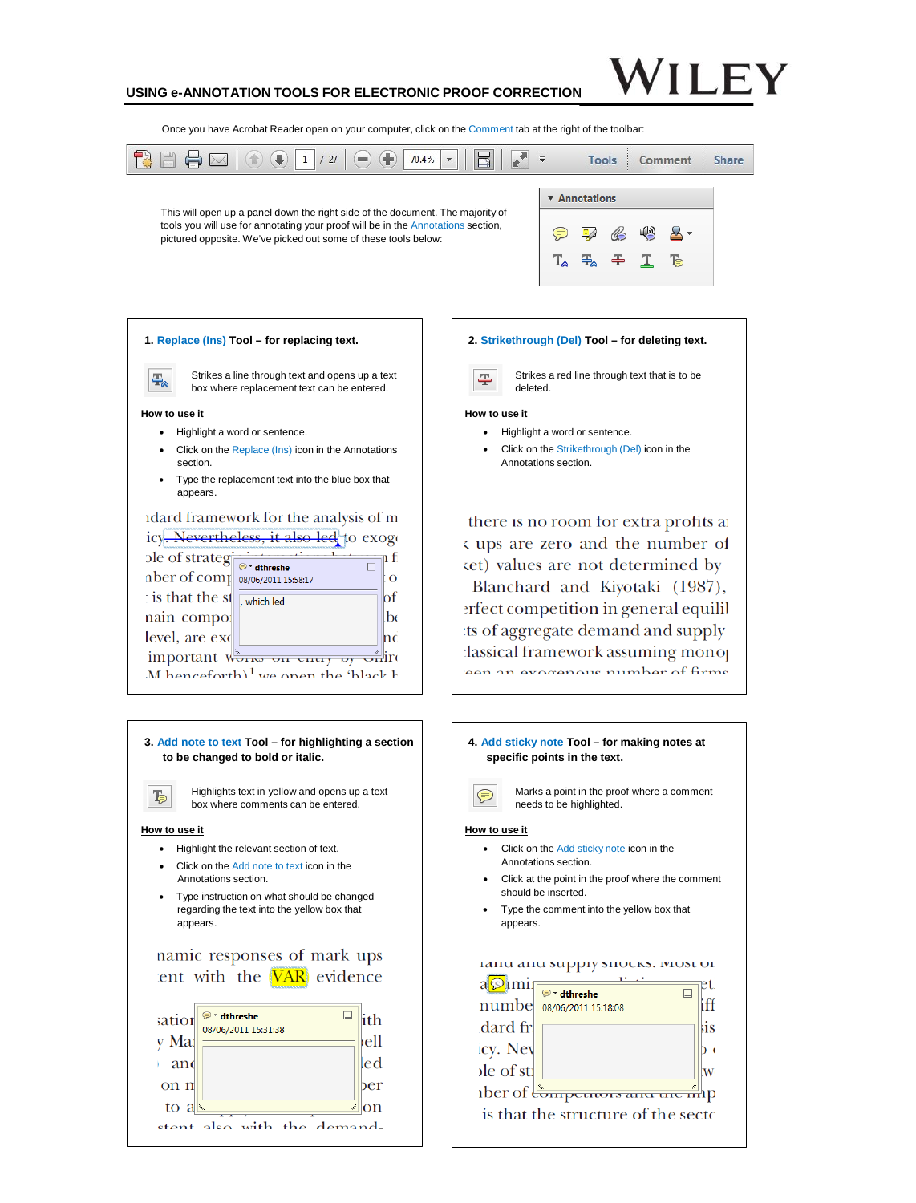## **USING e-ANNOTATION TOOLS FOR ELECTRONIC PROOF CORRECTION**

Once you have Acrobat Reader open on your computer, click on the Comment tab at the right of the toolbar:



## **1. Replace (Ins) Tool – for replacing text.**

Strikes a line through text and opens up a text box where replacement text can be entered.

#### **How to use it**

玉

- Highlight a word or sentence.
- Click on the Replace (Ins) icon in the Annotations section.
- Type the replacement text into the blue box that appears.

#### idard framework for the analysis of m icy. Nevertheless, it also led to exoge be of strategies, it as n fi  $\overline{\Box}$  $\frac{1}{2}$  to the complex 08/06/2011 15:58:17  $\overline{\mathbf{o}}$ : is that the st  $\frac{1}{\sqrt{2}}$  which led  $\mathbf{b}$ f nain compo:  $\mathbf{b}$ level, are exc lnd important works on energy by online M henceforth)  $^1$  we open the 'black b

## **3. Add note to text Tool – for highlighting a section to be changed to bold or italic.** Highlights text in yellow and opens up a text **下** box where comments can be entered. **How to use it** • Highlight the relevant section of text. • Click on the Add note to text icon in the Annotations section.

• Type instruction on what should be changed regarding the text into the yellow box that appears.

## namic responses of mark ups ent with the **VAR** evidence

| sation<br>y Ma | * dthreshe<br>08/06/2011 15:31:38 | th<br>ell |
|----------------|-----------------------------------|-----------|
| and            |                                   | led       |
| on n           |                                   | ber       |
| to $a \in$     |                                   | on        |
| $et$ ont       | also with the demand-             |           |

## **2. Strikethrough (Del) Tool – for deleting text.**

Strikes a red line through text that is to be deleted.

## **How to use it**

墨

- Highlight a word or sentence.
- Click on the Strikethrough (Del) icon in the Annotations section.

there is no room for extra profits at s ups are zero and the number of  $x$  (et) values are not determined by Blanchard and Kiyotaki (1987), erfect competition in general equilibts of aggregate demand and supply lassical framework assuming monor een an evocenous number of firms

## **4. Add sticky note Tool – for making notes at specific points in the text.** Marks a point in the proof where a comment needs to be highlighted. **How to use it** • Click on the Add sticky note icon in the Annotations section. • Click at the point in the proof where the comment should be inserted. • Type the comment into the yellow box that appears.

## тани ани миррту мноску, том от

|                         | dthreshe                             |     |
|-------------------------|--------------------------------------|-----|
| numbe                   | 08/06/2011 15:18:08                  |     |
| dard fr.                |                                      | sis |
| icy. Nev                |                                      |     |
| $\left  \right $ of sti |                                      |     |
|                         | ther of Competitors and the mp       |     |
|                         | is that the structure of the sector- |     |
|                         |                                      |     |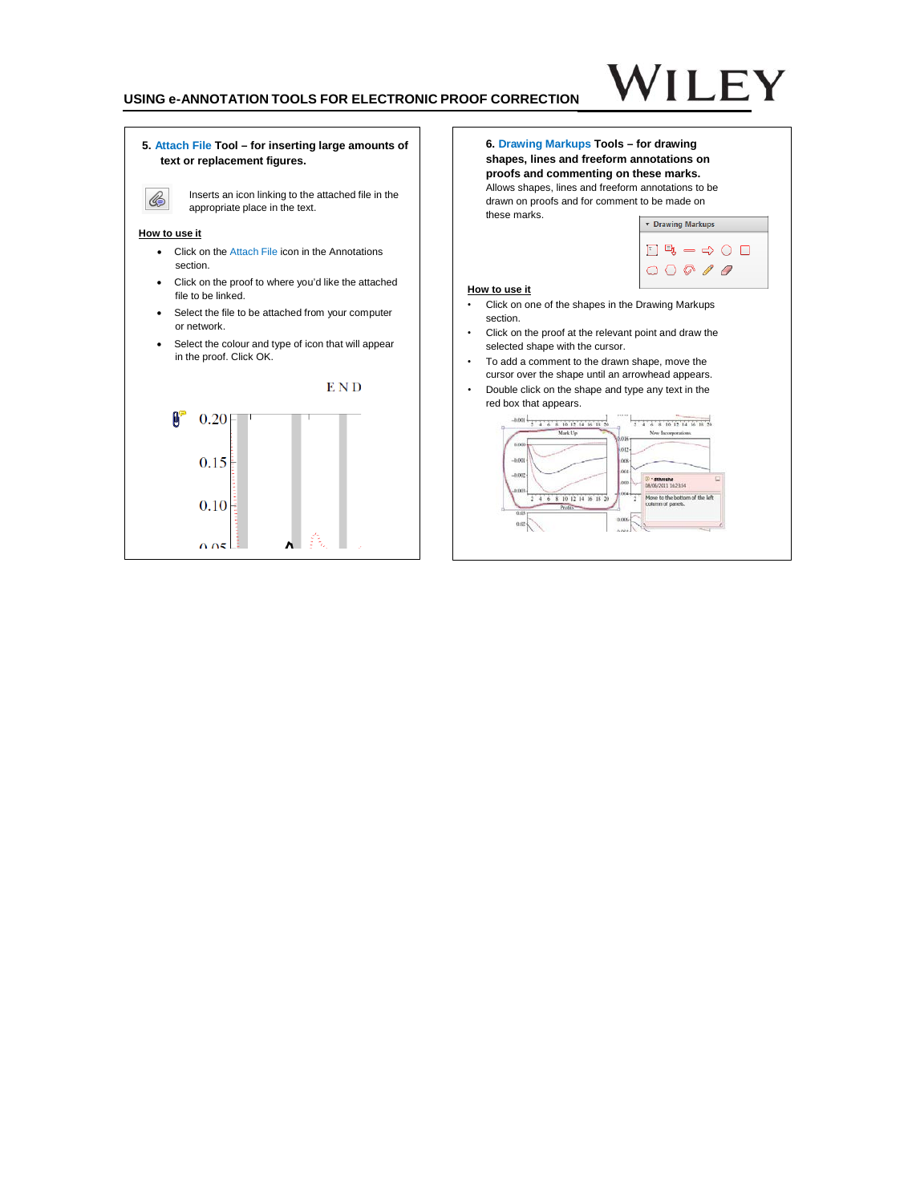## **USING e-ANNOTATION TOOLS FOR ELECTRONIC PROOF CORRECTION**

# **ILEY**

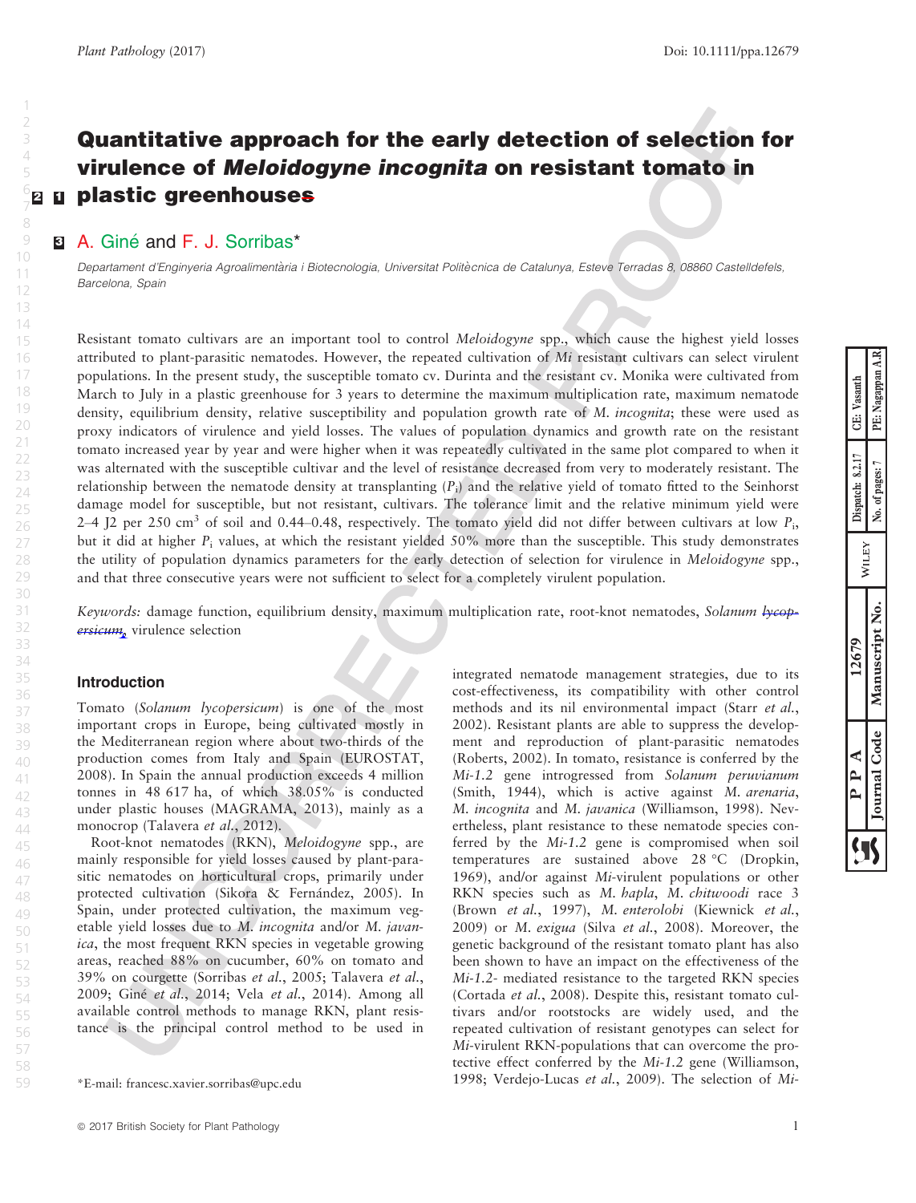## <span id="page-2-0"></span>Quantitative approach for the early detection of selection for virulence of Meloidogyne incognita on resistant tomato in **[2](#page-9-0) D** plastic greenhouses

## **El** A. Giné and F. J. Sorribas\*

Departament d'Enginyeria Agroalimentària i Biotecnologia, Universitat Politècnica de Catalunya, Esteve Terradas 8, 08860 Castelldefels, Barcelona, Spain

Resistant tomato cultivars are an important tool to control Meloidogyne spp., which cause the highest yield losses attributed to plant-parasitic nematodes. However, the repeated cultivation of Mi resistant cultivars can select virulent populations. In the present study, the susceptible tomato cv. Durinta and the resistant cv. Monika were cultivated from March to July in a plastic greenhouse for 3 years to determine the maximum multiplication rate, maximum nematode density, equilibrium density, relative susceptibility and population growth rate of M. *incognita*; these were used as proxy indicators of virulence and yield losses. The values of population dynamics and growth rate on the resistant tomato increased year by year and were higher when it was repeatedly cultivated in the same plot compared to when it was alternated with the susceptible cultivar and the level of resistance decreased from very to moderately resistant. The relationship between the nematode density at transplanting  $(P_i)$  and the relative yield of tomato fitted to the Seinhorst damage model for susceptible, but not resistant, cultivars. The tolerance limit and the relative minimum yield were 2–4 J2 per 250 cm<sup>3</sup> of soil and 0.44–0.48, respectively. The tomato yield did not differ between cultivars at low  $P_i$ , but it did at higher  $P_i$  values, at which the resistant yielded 50% more than the susceptible. This study demonstrates the utility of population dynamics parameters for the early detection of selection for virulence in Meloidogyne spp., and that three consecutive years were not sufficient to select for a completely virulent population.

Keywords: damage function, equilibrium density, maximum multiplication rate, root-knot nematodes, Solanum lycopersicum, virulence selection

## Introduction

Tomato (Solanum lycopersicum) is one of the most important crops in Europe, being cultivated mostly in the Mediterranean region where about two-thirds of the production comes from Italy and Spain (EUROSTAT, 2008). In Spain the annual production exceeds 4 million tonnes in 48 617 ha, of which 38.05% is conducted under plastic houses (MAGRAMA, 2013), mainly as a monocrop (Talavera *et al.*, 2012).

Root-knot nematodes (RKN), Meloidogyne spp., are mainly responsible for yield losses caused by plant-parasitic nematodes on horticultural crops, primarily under protected cultivation (Sikora & Fernández, 2005). In Spain, under protected cultivation, the maximum vegetable yield losses due to M. incognita and/or M. javanica, the most frequent RKN species in vegetable growing areas, reached 88% on cucumber, 60% on tomato and 39% on courgette (Sorribas et al., 2005; Talavera et al., 2009; Giné et al., 2014; Vela et al., 2014). Among all available control methods to manage RKN, plant resistance is the principal control method to be used in

integrated nematode management strategies, due to its cost-effectiveness, its compatibility with other control methods and its nil environmental impact (Starr et al., 2002). Resistant plants are able to suppress the development and reproduction of plant-parasitic nematodes (Roberts, 2002). In tomato, resistance is conferred by the Mi-1.2 gene introgressed from Solanum peruvianum (Smith, 1944), which is active against M. arenaria, M. incognita and M. javanica (Williamson, 1998). Nevertheless, plant resistance to these nematode species conferred by the Mi-1.2 gene is compromised when soil temperatures are sustained above 28 °C (Dropkin, 1969), and/or against Mi-virulent populations or other RKN species such as M. hapla, M. chitwoodi race 3 (Brown et al., 1997), M. enterolobi (Kiewnick et al., 2009) or M. exigua (Silva et al., 2008). Moreover, the genetic background of the resistant tomato plant has also been shown to have an impact on the effectiveness of the Mi-1.2- mediated resistance to the targeted RKN species (Cortada et al., 2008). Despite this, resistant tomato cultivars and/or rootstocks are widely used, and the repeated cultivation of resistant genotypes can select for Mi-virulent RKN-populations that can overcome the protective effect conferred by the Mi-1.2 gene (Williamson, 1998; Verdejo-Lucas et al., 2009). The selection of Mi- \*E-mail: francesc.xavier.sorribas@upc.edu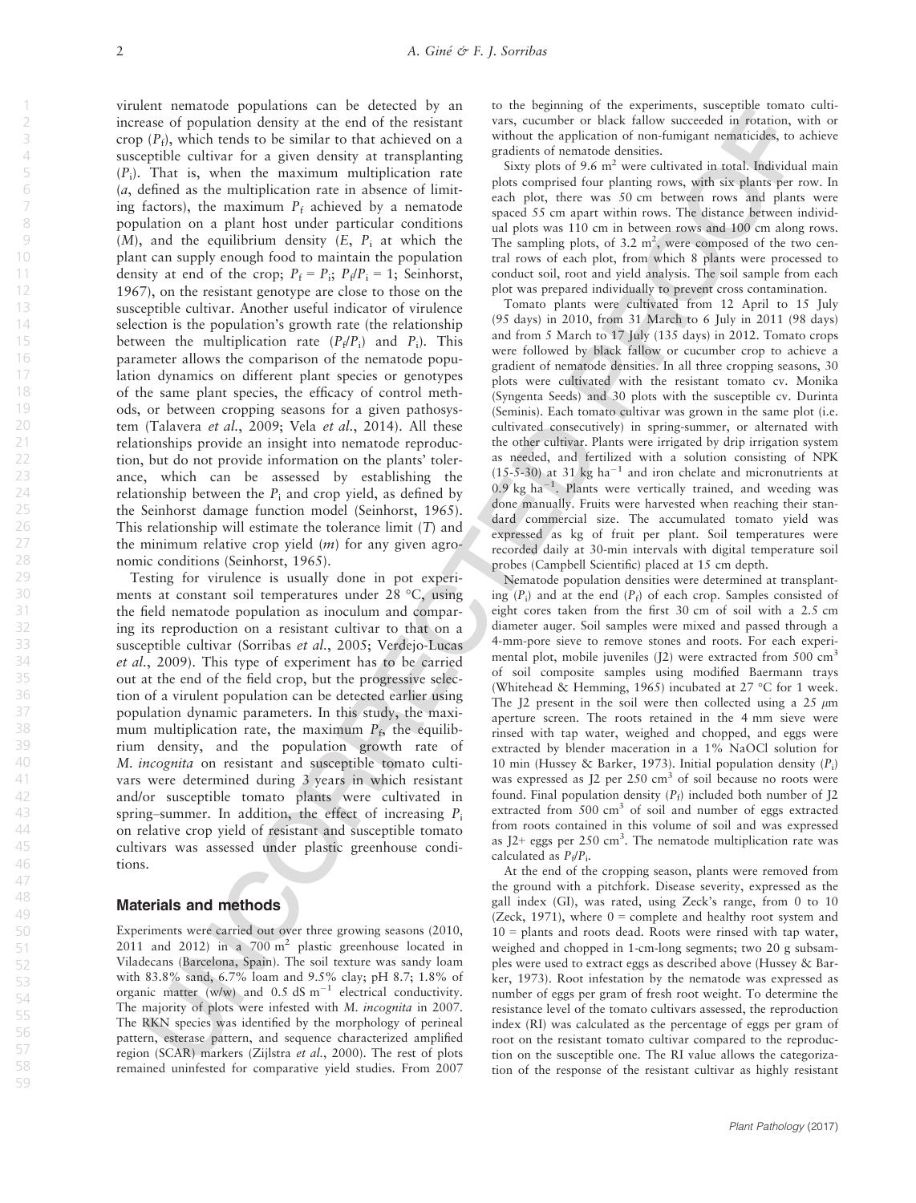virulent nematode populations can be detected by an increase of population density at the end of the resistant crop  $(P_f)$ , which tends to be similar to that achieved on a susceptible cultivar for a given density at transplanting  $(P_i)$ . That is, when the maximum multiplication rate  $(a, \text{ defined as the multiplication rate in absence of limit-}$ ing factors), the maximum  $P_f$  achieved by a nematode population on a plant host under particular conditions  $(M)$ , and the equilibrium density  $(E, P_i)$  at which the plant can supply enough food to maintain the population density at end of the crop;  $P_f = P_i$ ;  $P_f/P_i = 1$ ; Seinhorst, 1967), on the resistant genotype are close to those on the susceptible cultivar. Another useful indicator of virulence selection is the population's growth rate (the relationship between the multiplication rate  $(P_{\theta}/P_i)$  and  $P_i$ ). This parameter allows the comparison of the nematode population dynamics on different plant species or genotypes of the same plant species, the efficacy of control methods, or between cropping seasons for a given pathosystem (Talavera et al., 2009; Vela et al., 2014). All these relationships provide an insight into nematode reproduction, but do not provide information on the plants' tolerance, which can be assessed by establishing the relationship between the  $P_i$  and crop yield, as defined by the Seinhorst damage function model (Seinhorst, 1965). This relationship will estimate the tolerance limit  $(T)$  and the minimum relative crop yield  $(m)$  for any given agronomic conditions (Seinhorst, 1965).

Testing for virulence is usually done in pot experiments at constant soil temperatures under 28 °C, using the field nematode population as inoculum and comparing its reproduction on a resistant cultivar to that on a susceptible cultivar (Sorribas et al., 2005; Verdejo-Lucas et al., 2009). This type of experiment has to be carried out at the end of the field crop, but the progressive selection of a virulent population can be detected earlier using population dynamic parameters. In this study, the maximum multiplication rate, the maximum  $P_f$ , the equilibrium density, and the population growth rate of M. incognita on resistant and susceptible tomato cultivars were determined during 3 years in which resistant and/or susceptible tomato plants were cultivated in spring–summer. In addition, the effect of increasing  $P_i$ on relative crop yield of resistant and susceptible tomato cultivars was assessed under plastic greenhouse conditions.

## Materials and methods

Experiments were carried out over three growing seasons (2010, 2011 and 2012) in a  $700 \text{ m}^2$  plastic greenhouse located in Viladecans (Barcelona, Spain). The soil texture was sandy loam with 83.8% sand, 6.7% loam and 9.5% clay; pH 8.7; 1.8% of organic matter (w/w) and  $0.5$  dS m<sup>-1</sup> electrical conductivity. The majority of plots were infested with M. incognita in 2007. The RKN species was identified by the morphology of perineal pattern, esterase pattern, and sequence characterized amplified region (SCAR) markers (Zijlstra et al., 2000). The rest of plots remained uninfested for comparative yield studies. From 2007 to the beginning of the experiments, susceptible tomato cultivars, cucumber or black fallow succeeded in rotation, with or without the application of non-fumigant nematicides, to achieve gradients of nematode densities.

Sixty plots of 9.6  $m<sup>2</sup>$  were cultivated in total. Individual main plots comprised four planting rows, with six plants per row. In each plot, there was 50 cm between rows and plants were spaced 55 cm apart within rows. The distance between individual plots was 110 cm in between rows and 100 cm along rows. The sampling plots, of 3.2  $m^2$ , were composed of the two central rows of each plot, from which 8 plants were processed to conduct soil, root and yield analysis. The soil sample from each plot was prepared individually to prevent cross contamination.

Tomato plants were cultivated from 12 April to 15 July (95 days) in 2010, from 31 March to 6 July in 2011 (98 days) and from 5 March to 17 July (135 days) in 2012. Tomato crops were followed by black fallow or cucumber crop to achieve a gradient of nematode densities. In all three cropping seasons, 30 plots were cultivated with the resistant tomato cv. Monika (Syngenta Seeds) and 30 plots with the susceptible cv. Durinta (Seminis). Each tomato cultivar was grown in the same plot (i.e. cultivated consecutively) in spring-summer, or alternated with the other cultivar. Plants were irrigated by drip irrigation system as needed, and fertilized with a solution consisting of NPK  $(15-5-30)$  at 31 kg ha<sup>-1</sup> and iron chelate and micronutrients at  $0.9 \text{ kg ha}^{-1}$ . Plants were vertically trained, and weeding was done manually. Fruits were harvested when reaching their standard commercial size. The accumulated tomato yield was expressed as kg of fruit per plant. Soil temperatures were recorded daily at 30-min intervals with digital temperature soil probes (Campbell Scientific) placed at 15 cm depth.

Nematode population densities were determined at transplanting  $(P_i)$  and at the end  $(P_f)$  of each crop. Samples consisted of eight cores taken from the first 30 cm of soil with a 2.5 cm diameter auger. Soil samples were mixed and passed through a 4-mm-pore sieve to remove stones and roots. For each experimental plot, mobile juveniles (J2) were extracted from 500 cm<sup>3</sup> of soil composite samples using modified Baermann trays (Whitehead & Hemming, 1965) incubated at 27 °C for 1 week. The J2 present in the soil were then collected using a  $25 \mu m$ aperture screen. The roots retained in the 4 mm sieve were rinsed with tap water, weighed and chopped, and eggs were extracted by blender maceration in a 1% NaOCl solution for 10 min (Hussey & Barker, 1973). Initial population density  $(P_i)$ was expressed as J2 per 250 cm<sup>3</sup> of soil because no roots were found. Final population density  $(P_f)$  included both number of J2 extracted from 500 cm<sup>3</sup> of soil and number of eggs extracted from roots contained in this volume of soil and was expressed as  $J2$ + eggs per 250 cm<sup>3</sup>. The nematode multiplication rate was calculated as  $P_f/P_i$ .

At the end of the cropping season, plants were removed from the ground with a pitchfork. Disease severity, expressed as the gall index (GI), was rated, using Zeck's range, from 0 to 10 (Zeck, 1971), where  $0 =$  complete and healthy root system and 10 = plants and roots dead. Roots were rinsed with tap water, weighed and chopped in 1-cm-long segments; two 20 g subsamples were used to extract eggs as described above (Hussey & Barker, 1973). Root infestation by the nematode was expressed as number of eggs per gram of fresh root weight. To determine the resistance level of the tomato cultivars assessed, the reproduction index (RI) was calculated as the percentage of eggs per gram of root on the resistant tomato cultivar compared to the reproduction on the susceptible one. The RI value allows the categorization of the response of the resistant cultivar as highly resistant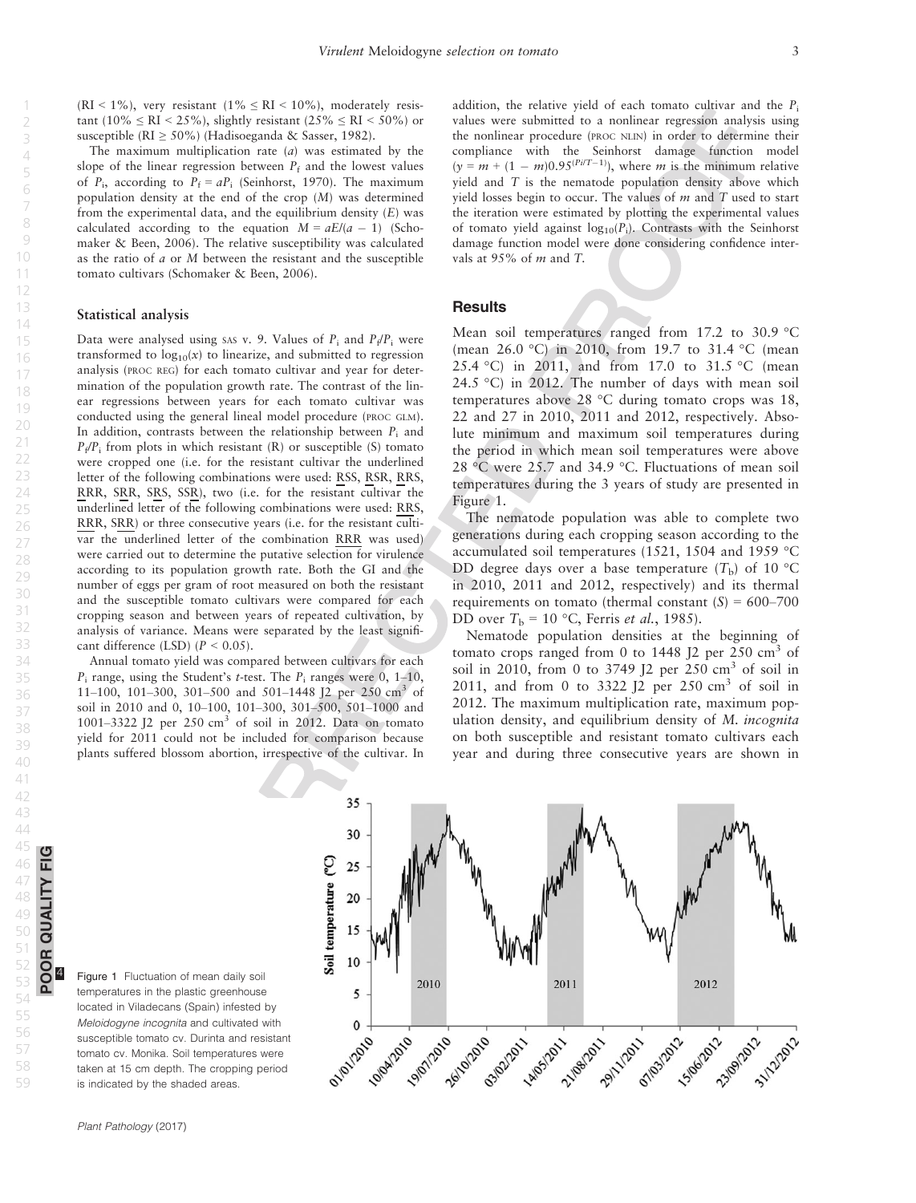POOR QUALITY FIG

囸

58

<span id="page-4-0"></span> $(RI \le 1\%)$ , very resistant  $(1\% \le RI \le 10\%)$ , moderately resistant (10%  $\leq$  RI  $\leq$  25%), slightly resistant (25%  $\leq$  RI  $\leq$  50%) or susceptible (RI  $\geq$  50%) (Hadisoeganda & Sasser, 1982).

The maximum multiplication rate  $(a)$  was estimated by the slope of the linear regression between  $P_f$  and the lowest values of  $P_i$ , according to  $P_f = aP_i$  (Seinhorst, 1970). The maximum population density at the end of the crop (M) was determined from the experimental data, and the equilibrium density  $(E)$  was calculated according to the equation  $M = aE/(a - 1)$  (Schomaker & Been, 2006). The relative susceptibility was calculated as the ratio of  $a$  or  $M$  between the resistant and the susceptible tomato cultivars (Schomaker & Been, 2006).

## Statistical analysis

Data were analysed using SAS v. 9. Values of  $P_i$  and  $P_f/P_i$  were transformed to  $log_{10}(x)$  to linearize, and submitted to regression analysis (PROC REG) for each tomato cultivar and year for determination of the population growth rate. The contrast of the linear regressions between years for each tomato cultivar was conducted using the general lineal model procedure (PROC GLM). In addition, contrasts between the relationship between  $P_i$  and  $P_f/P_i$  from plots in which resistant (R) or susceptible (S) tomato were cropped one (i.e. for the resistant cultivar the underlined letter of the following combinations were used: RSS, RSR, RRS, RRR, SRR, SRS, SSR), two (i.e. for the resistant cultivar the underlined letter of the following combinations were used: RRS, RRR, SRR) or three consecutive years (i.e. for the resistant cultivar the underlined letter of the combination RRR was used) were carried out to determine the putative selection for virulence according to its population growth rate. Both the GI and the number of eggs per gram of root measured on both the resistant and the susceptible tomato cultivars were compared for each cropping season and between years of repeated cultivation, by analysis of variance. Means were separated by the least significant difference (LSD)  $(P < 0.05)$ .

Annual tomato yield was compared between cultivars for each  $P_i$  range, using the Student's t-test. The  $P_i$  ranges were 0, 1–10, 11–100, 101–300, 301–500 and 501–1448 J2 per 250 cm<sup>3</sup> of soil in 2010 and 0, 10–100, 101–300, 301–500, 501–1000 and 1001–3322 J2 per  $250 \text{ cm}^3$  of soil in 2012. Data on tomato yield for 2011 could not be included for comparison because plants suffered blossom abortion, irrespective of the cultivar. In addition, the relative yield of each tomato cultivar and the  $P_i$ values were submitted to a nonlinear regression analysis using the nonlinear procedure (PROC NLIN) in order to determine their compliance with the Seinhorst damage function model  $(y = m + (1 - m)0.95^{(Pi/T-1)})$ , where *m* is the minimum relative yield and T is the nematode population density above which yield losses begin to occur. The values of  $m$  and  $T$  used to start the iteration were estimated by plotting the experimental values of tomato yield against  $log_{10}(P_i)$ . Contrasts with the Seinhorst damage function model were done considering confidence intervals at 95% of m and T.

## **Results**

Mean soil temperatures ranged from 17.2 to 30.9 °C (mean 26.0 °C) in 2010, from 19.7 to 31.4 °C (mean 25.4 °C) in 2011, and from 17.0 to 31.5 °C (mean 24.5 °C) in 2012. The number of days with mean soil temperatures above 28 °C during tomato crops was 18, 22 and 27 in 2010, 2011 and 2012, respectively. Absolute minimum and maximum soil temperatures during the period in which mean soil temperatures were above 28 °C were 25.7 and 34.9 °C. Fluctuations of mean soil temperatures during the 3 years of study are presented in Figure 1.

The nematode population was able to complete two generations during each cropping season according to the accumulated soil temperatures (1521, 1504 and 1959 °C DD degree days over a base temperature  $(T<sub>b</sub>)$  of 10 °C in 2010, 2011 and 2012, respectively) and its thermal requirements on tomato (thermal constant  $(S) = 600-700$ DD over  $T<sub>b</sub> = 10 °C$ , Ferris *et al.*, 1985).

Nematode population densities at the beginning of tomato crops ranged from 0 to 1448  $[2 \text{ per } 250 \text{ cm}^3 \text{ of}]$ soil in 2010, from 0 to 3749 J2 per 250  $\text{cm}^3$  of soil in 2011, and from 0 to 3322 J2 per  $250 \text{ cm}^3$  of soil in 2012. The maximum multiplication rate, maximum population density, and equilibrium density of M. incognita on both susceptible and resistant tomato cultivars each year and during three consecutive years are shown in

Figure 1 Fluctuation of mean daily soil temperatures in the plastic greenhouse located in Viladecans (Spain) infested by Meloidogyne incognita and cultivated with susceptible tomato cv. Durinta and resistant tomato cv. Monika. Soil temperatures were taken at 15 cm depth. The cropping period is indicated by the shaded areas.

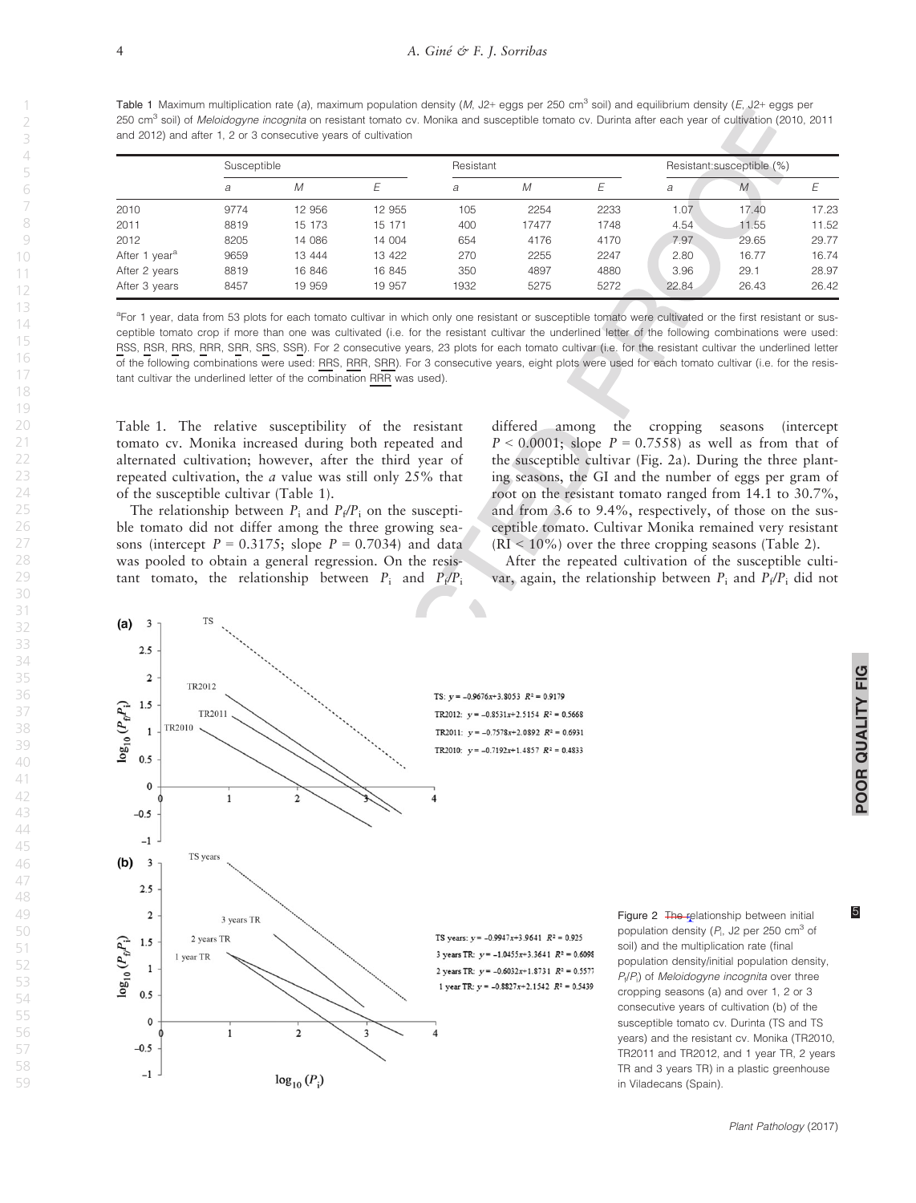<span id="page-5-0"></span>Table 1 Maximum multiplication rate (a), maximum population density (M, J2+ eggs per 250 cm<sup>3</sup> soil) and equilibrium density (E, J2+ eggs per 250 cm<sup>3</sup> soil) of *Meloidogyne incognita* on resistant tomato cy. Monika and susceptible tomato cy. Durinta after each year of cultivation (2010, 2011 and 2012) and after 1, 2 or 3 consecutive years of cultivation

|                           | Susceptible |        | Resistant |      |       | Resistant:susceptible (%) |       |       |       |
|---------------------------|-------------|--------|-----------|------|-------|---------------------------|-------|-------|-------|
|                           | a           | M      |           | a    | M     |                           | a     | M     |       |
| 2010                      | 9774        | 12 956 | 12 955    | 105  | 2254  | 2233                      | 1.07  | 17.40 | 17.23 |
| 2011                      | 8819        | 15 173 | 15 171    | 400  | 17477 | 1748                      | 4.54  | 11.55 | 11.52 |
| 2012                      | 8205        | 14 086 | 14 004    | 654  | 4176  | 4170                      | 7.97  | 29.65 | 29.77 |
| After 1 year <sup>a</sup> | 9659        | 13 444 | 13 422    | 270  | 2255  | 2247                      | 2.80  | 16.77 | 16.74 |
| After 2 years             | 8819        | 16 846 | 16 845    | 350  | 4897  | 4880                      | 3.96  | 29.1  | 28.97 |
| After 3 years             | 8457        | 19 959 | 19 957    | 1932 | 5275  | 5272                      | 22.84 | 26.43 | 26.42 |

<sup>a</sup>For 1 year, data from 53 plots for each tomato cultivar in which only one resistant or susceptible tomato were cultivated or the first resistant or susceptible tomato crop if more than one was cultivated (i.e. for the resistant cultivar the underlined letter of the following combinations were used: RSS, RSR, RRS, RRR, SRR, SRS, SSR). For 2 consecutive years, 23 plots for each tomato cultivar (i.e. for the resistant cultivar the underlined letter of the following combinations were used: RRS, RRR, SRR). For 3 consecutive years, eight plots were used for each tomato cultivar (i.e. for the resistant cultivar the underlined letter of the combination RRR was used).

Table 1. The relative susceptibility of the resistant tomato cv. Monika increased during both repeated and alternated cultivation; however, after the third year of repeated cultivation, the a value was still only 25% that of the susceptible cultivar (Table 1).

The relationship between  $P_i$  and  $P_f/P_i$  on the susceptible tomato did not differ among the three growing seasons (intercept  $P = 0.3175$ ; slope  $P = 0.7034$ ) and data was pooled to obtain a general regression. On the resistant tomato, the relationship between  $P_i$  and  $P_f/P_i$  differed among the cropping seasons (intercept  $P < 0.0001$ ; slope  $P = 0.7558$  as well as from that of the susceptible cultivar (Fig. 2a). During the three planting seasons, the GI and the number of eggs per gram of root on the resistant tomato ranged from 14.1 to 30.7%, and from 3.6 to 9.4%, respectively, of those on the susceptible tomato. Cultivar Monika remained very resistant  $(RI < 10\%)$  over the three cropping seasons (Table 2).

After the repeated cultivation of the susceptible cultivar, again, the relationship between  $P_i$  and  $P_f/P_i$  did not



POOR QUALITY FIG

POOR QUALITY FIG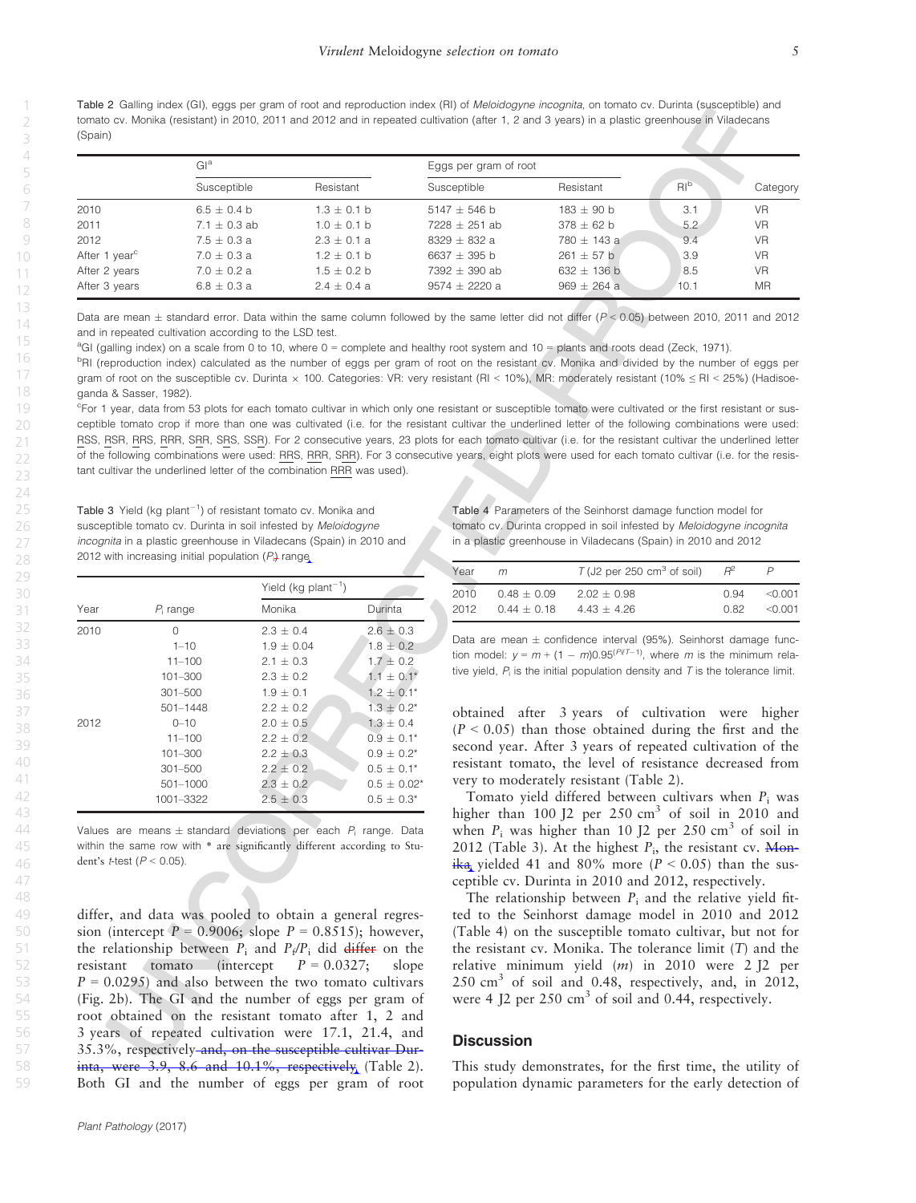Table 2 Galling index (GI), eggs per gram of root and reproduction index (RI) of Meloidogyne incognita, on tomato cv. Durinta (susceptible) and tomato cv. Monika (resistant) in 2010, 2011 and 2012 and in repeated cultivation (after 1, 2 and 3 years) in a plastic greenhouse in Viladecans (Spain)

|                           | Gl <sup>a</sup> |                 | Eggs per gram of root |                 |       |           |  |
|---------------------------|-----------------|-----------------|-----------------------|-----------------|-------|-----------|--|
|                           | Susceptible     | Resistant       | Susceptible           | Resistant       | $R^b$ | Category  |  |
| 2010                      | $6.5 + 0.4 h$   | $1.3 \pm 0.1$ b | $5147 + 546$ b        | $183 + 90h$     | 3.1   | <b>VR</b> |  |
| 2011                      | $7.1 + 0.3$ ab  | $1.0 + 0.1 h$   | $7228 + 251$ ab       | $378 + 62 h$    | 5.2   | <b>VR</b> |  |
| 2012                      | $7.5 + 0.3 a$   | $2.3 + 0.1 a$   | $8329 + 832a$         | $780 + 143$ a   | 9.4   | <b>VR</b> |  |
| After 1 year <sup>c</sup> | $7.0 + 0.3 a$   | $1.2 + 0.1 h$   | $6637 + 395$ b        | $261 + 57$ b    | 3.9   | <b>VR</b> |  |
| After 2 years             | $7.0 \pm 0.2$ a | $1.5 \pm 0.2$ b | $7392 + 390$ ab       | $632 \pm 136$ b | 8.5   | <b>VR</b> |  |
| After 3 years             | $6.8 \pm 0.3 a$ | $2.4 + 0.4 a$   | $9574 + 2220$ a       | $969 \pm 264$ a | 10.1  | <b>MR</b> |  |

Data are mean  $\pm$  standard error. Data within the same column followed by the same letter did not differ ( $P < 0.05$ ) between 2010, 2011 and 2012 and in repeated cultivation according to the LSD test.

a GI (galling index) on a scale from 0 to 10, where 0 = complete and healthy root system and 10 = plants and roots dead (Zeck, 1971).

bRI (reproduction index) calculated as the number of eggs per gram of root on the resistant cv. Monika and divided by the number of eggs per gram of root on the susceptible cv. Durinta × 100. Categories: VR: very resistant (RI < 10%), MR: moderately resistant (10% ≤ RI < 25%) (Hadisoeganda & Sasser, 1982).

c For 1 year, data from 53 plots for each tomato cultivar in which only one resistant or susceptible tomato were cultivated or the first resistant or susceptible tomato crop if more than one was cultivated (i.e. for the resistant cultivar the underlined letter of the following combinations were used: RSS, RSR, RRS, RRR, SRR, SRS, SSR). For 2 consecutive years, 23 plots for each tomato cultivar (i.e. for the resistant cultivar the underlined letter of the following combinations were used: RRS, RRR, SRR). For 3 consecutive years, eight plots were used for each tomato cultivar (i.e. for the resistant cultivar the underlined letter of the combination RRR was used).

Table 3 Yield (kg plant $^{-1}$ ) of resistant tomato cv. Monika and susceptible tomato cv. Durinta in soil infested by Meloidogyne incognita in a plastic greenhouse in Viladecans (Spain) in 2010 and 2012 with increasing initial population  $(P_i)$  range

|      |              | Yield (kg $plan-1$ ) |                  |  |
|------|--------------|----------------------|------------------|--|
| Year | $P_i$ range  | Monika               | Durinta          |  |
| 2010 | $\Omega$     | $2.3 + 0.4$          | $2.6 \pm 0.3$    |  |
|      | $1 - 10$     | $1.9 + 0.04$         | $1.8 \pm 0.2$    |  |
|      | $11 - 100$   | $2.1 + 0.3$          | $1.7 \pm 0.2$    |  |
|      | $101 - 300$  | $2.3 \pm 0.2$        | $1.1 \pm 0.1^*$  |  |
|      | $301 - 500$  | $1.9 \pm 0.1$        | $1.2 \pm 0.1^*$  |  |
|      | $501 - 1448$ | $2.2 + 0.2$          | $1.3 \pm 0.2^*$  |  |
| 2012 | $0 - 10$     | $2.0 + 0.5$          | $1.3 + 0.4$      |  |
|      | $11 - 100$   | $2.2 + 0.2$          | $0.9 + 0.1*$     |  |
|      | $101 - 300$  | $2.2 + 0.3$          | $0.9 + 0.2^{*}$  |  |
|      | $301 - 500$  | $2.2 \pm 0.2$        | $0.5 + 0.1*$     |  |
|      | 501-1000     | $2.3 \pm 0.2$        | $0.5 \pm 0.02^*$ |  |
|      | 1001-3322    | $2.5 \pm 0.3$        | $0.5 + 0.3*$     |  |
|      |              |                      |                  |  |

Values are means  $\pm$  standard deviations per each  $P_i$  range. Data within the same row with \* are significantly different according to Student's t-test ( $P < 0.05$ ).

differ, and data was pooled to obtain a general regression (intercept  $P = 0.9006$ ; slope  $P = 0.8515$ ); however, the relationship between  $P_i$  and  $P_f/P_i$  did differ on the resistant tomato (intercept  $P = 0.0327$ ; slope  $P = 0.0295$  and also between the two tomato cultivars (Fig. 2b). The GI and the number of eggs per gram of root obtained on the resistant tomato after 1, 2 and 3 years of repeated cultivation were 17.1, 21.4, and 35.3%, respectively and, on the susceptible cultivar Durinta, were  $3.9$ ,  $8.6$  and  $10.1\%$ , respectively (Table 2). Both GI and the number of eggs per gram of root Table 4 Parameters of the Seinhorst damage function model for tomato cv. Durinta cropped in soil infested by Meloidogyne incognita in a plastic greenhouse in Viladecans (Spain) in 2010 and 2012

| Year | m             | $T$ (J2 per 250 cm <sup>3</sup> of soil) |      |          |
|------|---------------|------------------------------------------|------|----------|
| 2010 | $0.48 + 0.09$ | $202 + 0.98$                             | O 94 | $<$ 0.01 |
| 2012 | $0.44 + 0.18$ | $443 + 426$                              | 0.82 | $<$ 0.01 |

Data are mean  $\pm$  confidence interval (95%). Seinhorst damage function model:  $y = m + (1 - m)0.95^{(P)/T-1)}$ , where m is the minimum relative yield,  $P_i$  is the initial population density and  $T$  is the tolerance limit.

obtained after 3 years of cultivation were higher  $(P < 0.05)$  than those obtained during the first and the second year. After 3 years of repeated cultivation of the resistant tomato, the level of resistance decreased from very to moderately resistant (Table 2).

Tomato yield differed between cultivars when  $P_i$  was higher than  $100$  J2 per  $250$  cm<sup>3</sup> of soil in 2010 and when  $P_i$  was higher than 10 J2 per 250 cm<sup>3</sup> of soil in 2012 (Table 3). At the highest  $P_i$ , the resistant cv. Monika yielded 41 and 80% more ( $P < 0.05$ ) than the susceptible cv. Durinta in 2010 and 2012, respectively.

The relationship between  $P_i$  and the relative yield fitted to the Seinhorst damage model in 2010 and 2012 (Table 4) on the susceptible tomato cultivar, but not for the resistant cv. Monika. The tolerance limit  $(T)$  and the relative minimum yield  $(m)$  in 2010 were 2 J2 per  $250 \text{ cm}^3$  of soil and 0.48, respectively, and, in 2012, were 4 J2 per  $250 \text{ cm}^3$  of soil and 0.44, respectively.

## **Discussion**

This study demonstrates, for the first time, the utility of population dynamic parameters for the early detection of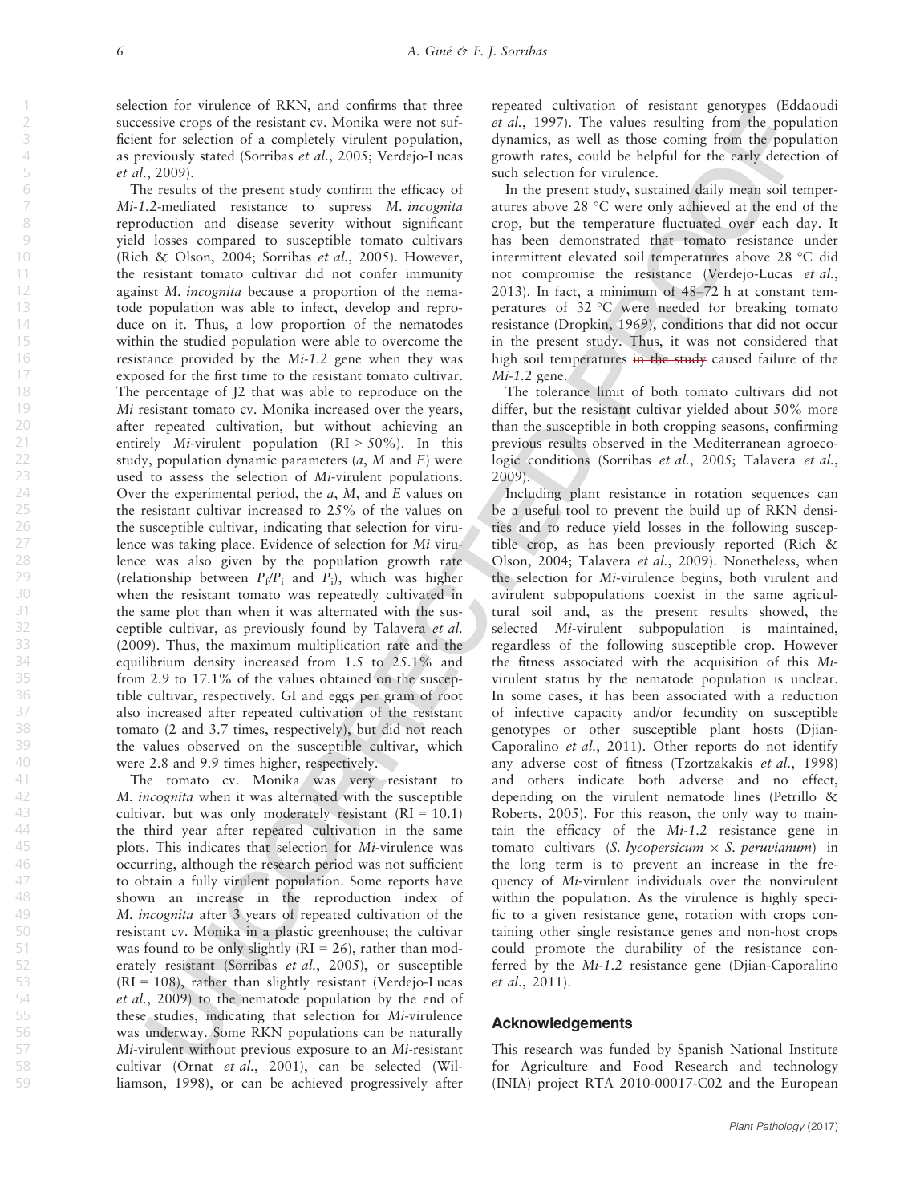selection for virulence of RKN, and confirms that three successive crops of the resistant cv. Monika were not sufficient for selection of a completely virulent population, as previously stated (Sorribas et al., 2005; Verdejo-Lucas et al., 2009).

The results of the present study confirm the efficacy of Mi-1.2-mediated resistance to supress M. incognita reproduction and disease severity without significant yield losses compared to susceptible tomato cultivars (Rich & Olson, 2004; Sorribas et al., 2005). However, the resistant tomato cultivar did not confer immunity against M. incognita because a proportion of the nematode population was able to infect, develop and reproduce on it. Thus, a low proportion of the nematodes within the studied population were able to overcome the resistance provided by the Mi-1.2 gene when they was exposed for the first time to the resistant tomato cultivar. The percentage of J2 that was able to reproduce on the Mi resistant tomato cv. Monika increased over the years, after repeated cultivation, but without achieving an entirely Mi-virulent population  $(RI > 50\%)$ . In this study, population dynamic parameters  $(a, M \text{ and } E)$  were used to assess the selection of Mi-virulent populations. Over the experimental period, the  $a$ ,  $M$ , and  $E$  values on the resistant cultivar increased to 25% of the values on the susceptible cultivar, indicating that selection for virulence was taking place. Evidence of selection for Mi virulence was also given by the population growth rate (relationship between  $P_f/P_i$  and  $P_i$ ), which was higher when the resistant tomato was repeatedly cultivated in the same plot than when it was alternated with the susceptible cultivar, as previously found by Talavera et al. (2009). Thus, the maximum multiplication rate and the equilibrium density increased from 1.5 to 25.1% and from 2.9 to 17.1% of the values obtained on the susceptible cultivar, respectively. GI and eggs per gram of root also increased after repeated cultivation of the resistant tomato (2 and 3.7 times, respectively), but did not reach the values observed on the susceptible cultivar, which were 2.8 and 9.9 times higher, respectively.

The tomato cv. Monika was very resistant to M. incognita when it was alternated with the susceptible cultivar, but was only moderately resistant  $(RI = 10.1)$ the third year after repeated cultivation in the same plots. This indicates that selection for Mi-virulence was occurring, although the research period was not sufficient to obtain a fully virulent population. Some reports have shown an increase in the reproduction index of M. incognita after 3 years of repeated cultivation of the resistant cv. Monika in a plastic greenhouse; the cultivar was found to be only slightly ( $RI = 26$ ), rather than moderately resistant (Sorribas et al., 2005), or susceptible  $(RI = 108)$ , rather than slightly resistant (Verdejo-Lucas et al., 2009) to the nematode population by the end of these studies, indicating that selection for Mi-virulence was underway. Some RKN populations can be naturally Mi-virulent without previous exposure to an Mi-resistant cultivar (Ornat et al., 2001), can be selected (Williamson, 1998), or can be achieved progressively after repeated cultivation of resistant genotypes (Eddaoudi et al., 1997). The values resulting from the population dynamics, as well as those coming from the population growth rates, could be helpful for the early detection of such selection for virulence.

In the present study, sustained daily mean soil temperatures above 28 °C were only achieved at the end of the crop, but the temperature fluctuated over each day. It has been demonstrated that tomato resistance under intermittent elevated soil temperatures above 28 °C did not compromise the resistance (Verdejo-Lucas et al., 2013). In fact, a minimum of 48–72 h at constant temperatures of 32 °C were needed for breaking tomato resistance (Dropkin, 1969), conditions that did not occur in the present study. Thus, it was not considered that high soil temperatures in the study caused failure of the  $Mi-1.2$  gene.

The tolerance limit of both tomato cultivars did not differ, but the resistant cultivar yielded about 50% more than the susceptible in both cropping seasons, confirming previous results observed in the Mediterranean agroecologic conditions (Sorribas et al., 2005; Talavera et al., 2009).

Including plant resistance in rotation sequences can be a useful tool to prevent the build up of RKN densities and to reduce yield losses in the following susceptible crop, as has been previously reported (Rich & Olson, 2004; Talavera et al., 2009). Nonetheless, when the selection for Mi-virulence begins, both virulent and avirulent subpopulations coexist in the same agricultural soil and, as the present results showed, the selected Mi-virulent subpopulation is maintained, regardless of the following susceptible crop. However the fitness associated with the acquisition of this Mivirulent status by the nematode population is unclear. In some cases, it has been associated with a reduction of infective capacity and/or fecundity on susceptible genotypes or other susceptible plant hosts (Djian-Caporalino et al., 2011). Other reports do not identify any adverse cost of fitness (Tzortzakakis et al., 1998) and others indicate both adverse and no effect, depending on the virulent nematode lines (Petrillo & Roberts, 2005). For this reason, the only way to maintain the efficacy of the Mi-1.2 resistance gene in tomato cultivars (S. lycopersicum  $\times$  S. peruvianum) in the long term is to prevent an increase in the frequency of Mi-virulent individuals over the nonvirulent within the population. As the virulence is highly specific to a given resistance gene, rotation with crops containing other single resistance genes and non-host crops could promote the durability of the resistance conferred by the Mi-1.2 resistance gene (Djian-Caporalino et al., 2011).

## Acknowledgements

This research was funded by Spanish National Institute for Agriculture and Food Research and technology (INIA) project RTA 2010-00017-C02 and the European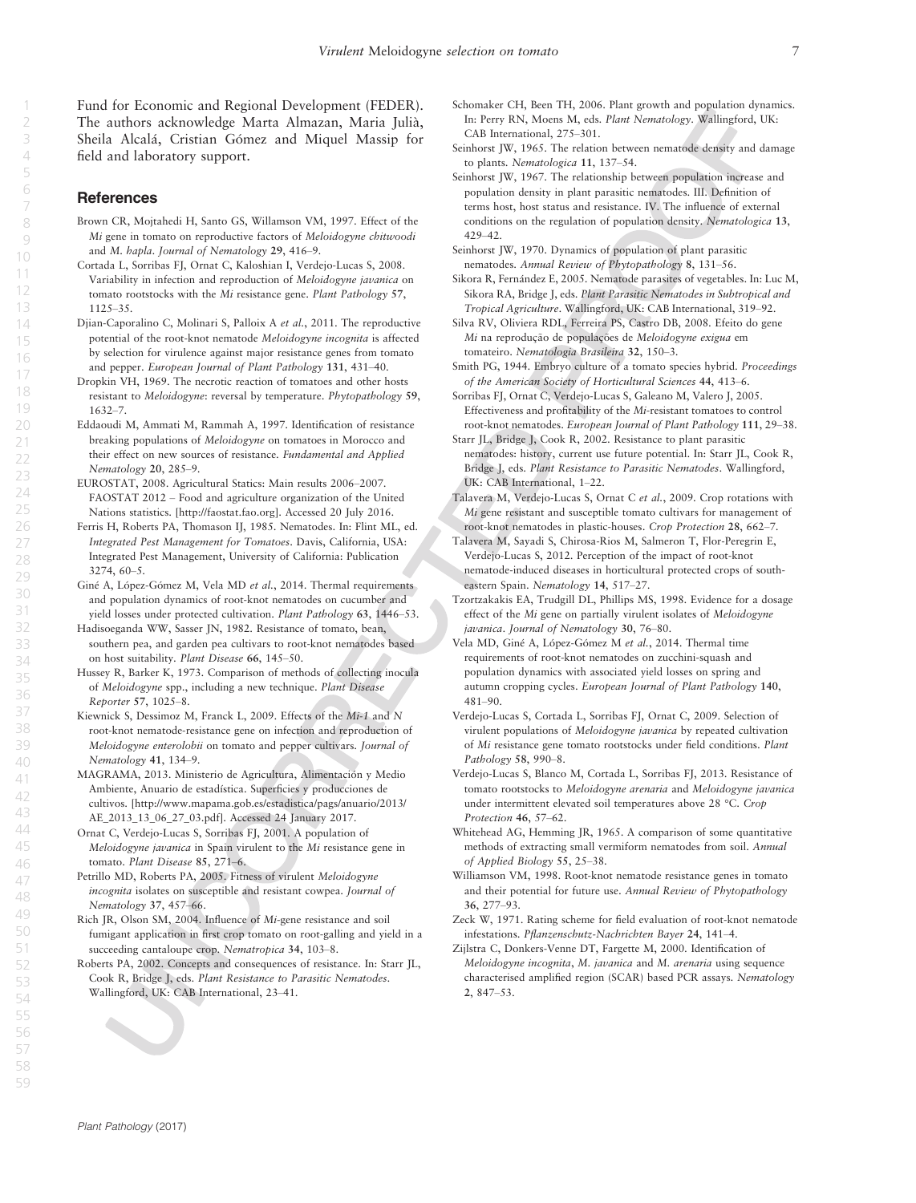Fund for Economic and Regional Development (FEDER). The authors acknowledge Marta Almazan, Maria Julia, Sheila Alcalá, Cristian Gómez and Miquel Massip for field and laboratory support.

## References

- Brown CR, Mojtahedi H, Santo GS, Willamson VM, 1997. Effect of the Mi gene in tomato on reproductive factors of Meloidogyne chitwoodi and M. hapla. Journal of Nematology 29, 416–9.
- Cortada L, Sorribas FJ, Ornat C, Kaloshian I, Verdejo-Lucas S, 2008. Variability in infection and reproduction of Meloidogyne javanica on tomato rootstocks with the Mi resistance gene. Plant Pathology 57, 1125–35.
- Djian-Caporalino C, Molinari S, Palloix A et al., 2011. The reproductive potential of the root-knot nematode Meloidogyne incognita is affected by selection for virulence against major resistance genes from tomato and pepper. European Journal of Plant Pathology 131, 431–40.
- Dropkin VH, 1969. The necrotic reaction of tomatoes and other hosts resistant to Meloidogyne: reversal by temperature. Phytopathology 59, 1632–7.
- Eddaoudi M, Ammati M, Rammah A, 1997. Identification of resistance breaking populations of Meloidogyne on tomatoes in Morocco and their effect on new sources of resistance. Fundamental and Applied Nematology 20, 285–9.
- EUROSTAT, 2008. Agricultural Statics: Main results 2006–2007. FAOSTAT 2012 – Food and agriculture organization of the United Nations statistics. [\[http://faostat.fao.org\]](http://faostat.fao.org). Accessed 20 July 2016.
- Ferris H, Roberts PA, Thomason IJ, 1985. Nematodes. In: Flint ML, ed. Integrated Pest Management for Tomatoes. Davis, California, USA: Integrated Pest Management, University of California: Publication 3274, 60–5.
- Giné A, López-Gómez M, Vela MD et al., 2014. Thermal requirements and population dynamics of root-knot nematodes on cucumber and yield losses under protected cultivation. Plant Pathology 63, 1446–53.
- Hadisoeganda WW, Sasser JN, 1982. Resistance of tomato, bean, southern pea, and garden pea cultivars to root-knot nematodes based on host suitability. Plant Disease 66, 145–50.
- Hussey R, Barker K, 1973. Comparison of methods of collecting inocula of Meloidogyne spp., including a new technique. Plant Disease Reporter 57, 1025–8.
- Kiewnick S, Dessimoz M, Franck L, 2009. Effects of the Mi-1 and N root-knot nematode-resistance gene on infection and reproduction of Meloidogyne enterolobii on tomato and pepper cultivars. Journal of Nematology 41, 134–9.
- MAGRAMA, 2013. Ministerio de Agricultura, Alimentación y Medio Ambiente, Anuario de estadıstica. Superficies y producciones de cultivos. [[http://www.mapama.gob.es/estadistica/pags/anuario/2013/](http://www.mapama.gob.es/estadistica/pags/anuario/2013/AE_2013_13_06_27_03.pdf) [AE\\_2013\\_13\\_06\\_27\\_03.pdf\]](http://www.mapama.gob.es/estadistica/pags/anuario/2013/AE_2013_13_06_27_03.pdf). Accessed 24 January 2017.
- Ornat C, Verdejo-Lucas S, Sorribas FJ, 2001. A population of Meloidogyne javanica in Spain virulent to the Mi resistance gene in tomato. Plant Disease 85, 271–6.
- Petrillo MD, Roberts PA, 2005. Fitness of virulent Meloidogyne incognita isolates on susceptible and resistant cowpea. Journal of Nematology 37, 457–66.
- Rich JR, Olson SM, 2004. Influence of Mi-gene resistance and soil fumigant application in first crop tomato on root-galling and yield in a succeeding cantaloupe crop. Nematropica 34, 103-8.
- Roberts PA, 2002. Concepts and consequences of resistance. In: Starr JL, Cook R, Bridge J, eds. Plant Resistance to Parasitic Nematodes. Wallingford, UK: CAB International, 23–41.
- Schomaker CH, Been TH, 2006. Plant growth and population dynamics. In: Perry RN, Moens M, eds. Plant Nematology. Wallingford, UK: CAB International, 275–301.
- Seinhorst JW, 1965. The relation between nematode density and damage to plants. Nematologica 11, 137–54.
- Seinhorst JW, 1967. The relationship between population increase and population density in plant parasitic nematodes. III. Definition of terms host, host status and resistance. IV. The influence of external conditions on the regulation of population density. Nematologica 13, 429–42.
- Seinhorst JW, 1970. Dynamics of population of plant parasitic nematodes. Annual Review of Phytopathology 8, 131–56.
- Sikora R, Fernández E, 2005. Nematode parasites of vegetables. In: Luc M, Sikora RA, Bridge J, eds. Plant Parasitic Nematodes in Subtropical and Tropical Agriculture. Wallingford, UK: CAB International, 319–92.
- Silva RV, Oliviera RDL, Ferreira PS, Castro DB, 2008. Efeito do gene Mi na reprodução de populações de Meloidogyne exigua em tomateiro. Nematologia Brasileira 32, 150–3.
- Smith PG, 1944. Embryo culture of a tomato species hybrid. Proceedings of the American Society of Horticultural Sciences 44, 413–6.
- Sorribas FJ, Ornat C, Verdejo-Lucas S, Galeano M, Valero J, 2005. Effectiveness and profitability of the Mi-resistant tomatoes to control root-knot nematodes. European Journal of Plant Pathology 111, 29–38.
- Starr JL, Bridge J, Cook R, 2002. Resistance to plant parasitic nematodes: history, current use future potential. In: Starr JL, Cook R, Bridge J, eds. Plant Resistance to Parasitic Nematodes. Wallingford, UK: CAB International, 1–22.
- Talavera M, Verdejo-Lucas S, Ornat C et al., 2009. Crop rotations with Mi gene resistant and susceptible tomato cultivars for management of root-knot nematodes in plastic-houses. Crop Protection 28, 662–7.
- Talavera M, Sayadi S, Chirosa-Rios M, Salmeron T, Flor-Peregrin E, Verdejo-Lucas S, 2012. Perception of the impact of root-knot nematode-induced diseases in horticultural protected crops of southeastern Spain. Nematology 14, 517-27.
- Tzortzakakis EA, Trudgill DL, Phillips MS, 1998. Evidence for a dosage effect of the Mi gene on partially virulent isolates of Meloidogyne javanica. Journal of Nematology 30, 76–80.
- Vela MD, Giné A, López-Gómez M et al., 2014. Thermal time requirements of root-knot nematodes on zucchini-squash and population dynamics with associated yield losses on spring and autumn cropping cycles. European Journal of Plant Pathology 140, 481–90.
- Verdejo-Lucas S, Cortada L, Sorribas FJ, Ornat C, 2009. Selection of virulent populations of Meloidogyne javanica by repeated cultivation of Mi resistance gene tomato rootstocks under field conditions. Plant Pathology 58, 990–8.
- Verdejo-Lucas S, Blanco M, Cortada L, Sorribas FJ, 2013. Resistance of tomato rootstocks to Meloidogyne arenaria and Meloidogyne javanica under intermittent elevated soil temperatures above 28 °C. Crop Protection 46, 57–62.
- Whitehead AG, Hemming JR, 1965. A comparison of some quantitative methods of extracting small vermiform nematodes from soil. Annual of Applied Biology 55, 25–38.
- Williamson VM, 1998. Root-knot nematode resistance genes in tomato and their potential for future use. Annual Review of Phytopathology 36, 277–93.
- Zeck W, 1971. Rating scheme for field evaluation of root-knot nematode infestations. Pflanzenschutz-Nachrichten Bayer 24, 141–4.
- Zijlstra C, Donkers-Venne DT, Fargette M, 2000. Identification of Meloidogyne incognita, M. javanica and M. arenaria using sequence characterised amplified region (SCAR) based PCR assays. Nematology 2, 847–53.